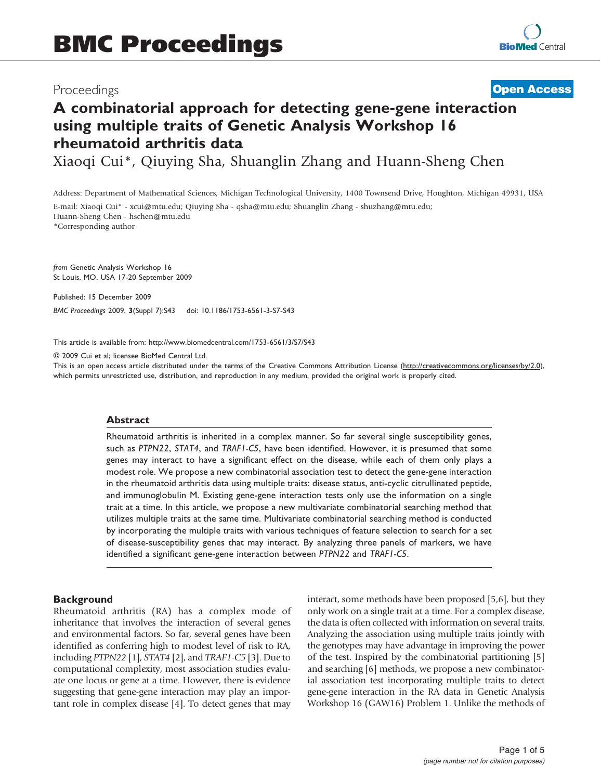# Proceedings

# **[Open Access](http://www.biomedcentral.com/info/about/charter/)**

# A combinatorial approach for detecting gene-gene interaction using multiple traits of Genetic Analysis Workshop 16 rheumatoid arthritis data

Xiaoqi Cui\*, Qiuying Sha, Shuanglin Zhang and Huann-Sheng Chen

Address: Department of Mathematical Sciences, Michigan Technological University, 1400 Townsend Drive, Houghton, Michigan 49931, USA

E-mail: Xiaoqi Cui\* - [xcui@mtu.edu;](mailto:xcui@mtu.edu) Qiuying Sha - [qsha@mtu.edu;](mailto:qsha@mtu.edu) Shuanglin Zhang - [shuzhang@mtu.edu](mailto:shuzhang@mtu.edu); Huann-Sheng Chen - [hschen@mtu.edu](mailto:hschen@mtu.edu)

\*Corresponding author

from Genetic Analysis Workshop 16 St Louis, MO, USA 17-20 September 2009

Published: 15 December 2009 BMC Proceedings 2009, 3(Suppl 7):S43 doi: 10.1186/1753-6561-3-S7-S43

This article is available from: http://www.biomedcentral.com/1753-6561/3/S7/S43

© 2009 Cui et al; licensee BioMed Central Ltd.

This is an open access article distributed under the terms of the Creative Commons Attribution License [\(http://creativecommons.org/licenses/by/2.0\)](http://creativecommons.org/licenses/by/2.0), which permits unrestricted use, distribution, and reproduction in any medium, provided the original work is properly cited.

#### Abstract

Rheumatoid arthritis is inherited in a complex manner. So far several single susceptibility genes, such as PTPN22, STAT4, and TRAF1-C5, have been identified. However, it is presumed that some genes may interact to have a significant effect on the disease, while each of them only plays a modest role. We propose a new combinatorial association test to detect the gene-gene interaction in the rheumatoid arthritis data using multiple traits: disease status, anti-cyclic citrullinated peptide, and immunoglobulin M. Existing gene-gene interaction tests only use the information on a single trait at a time. In this article, we propose a new multivariate combinatorial searching method that utilizes multiple traits at the same time. Multivariate combinatorial searching method is conducted by incorporating the multiple traits with various techniques of feature selection to search for a set of disease-susceptibility genes that may interact. By analyzing three panels of markers, we have identified a significant gene-gene interaction between PTPN22 and TRAF1-C5.

#### **Background**

Rheumatoid arthritis (RA) has a complex mode of inheritance that involves the interaction of several genes and environmental factors. So far, several genes have been identified as conferring high to modest level of risk to RA, including PTPN22 [\[1\]](#page-4-0), STAT4 [[2](#page-4-0)], and TRAF1-C5 [[3](#page-4-0)]. Due to computational complexity, most association studies evaluate one locus or gene at a time. However, there is evidence suggesting that gene-gene interaction may play an important role in complex disease [\[4\]](#page-4-0). To detect genes that may interact, some methods have been proposed [\[5,6](#page-4-0)], but they only work on a single trait at a time. For a complex disease, the data is often collected with information on several traits. Analyzing the association using multiple traits jointly with the genotypes may have advantage in improving the power of the test. Inspired by the combinatorial partitioning [\[5\]](#page-4-0) and searching [\[6](#page-4-0)] methods, we propose a new combinatorial association test incorporating multiple traits to detect gene-gene interaction in the RA data in Genetic Analysis Workshop 16 (GAW16) Problem 1. Unlike the methods of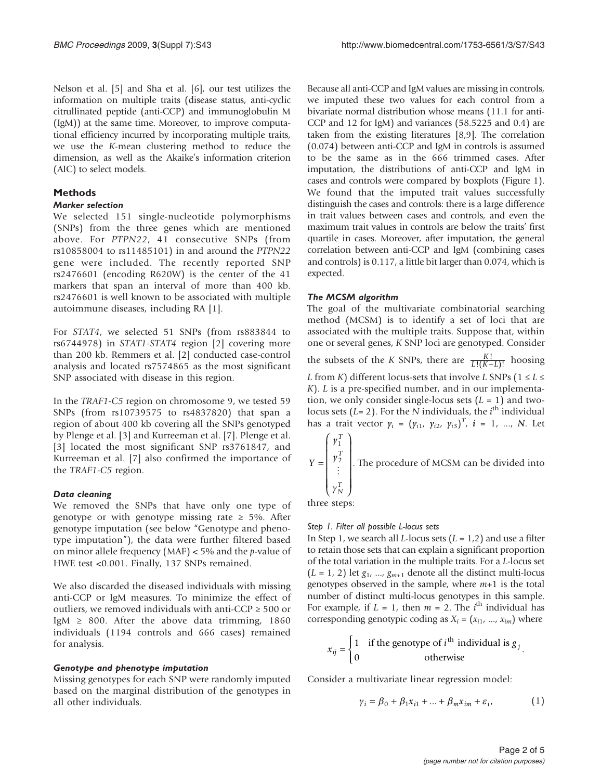Nelson et al. [\[5\]](#page-4-0) and Sha et al. [\[6](#page-4-0)], our test utilizes the information on multiple traits (disease status, anti-cyclic citrullinated peptide (anti-CCP) and immunoglobulin M (IgM)) at the same time. Moreover, to improve computational efficiency incurred by incorporating multiple traits, we use the K-mean clustering method to reduce the dimension, as well as the Akaike's information criterion (AIC) to select models.

## Methods

#### Marker selection

We selected 151 single-nucleotide polymorphisms (SNPs) from the three genes which are mentioned above. For PTPN22, 41 consecutive SNPs (from rs10858004 to rs11485101) in and around the PTPN22 gene were included. The recently reported SNP rs2476601 (encoding R620W) is the center of the 41 markers that span an interval of more than 400 kb. rs2476601 is well known to be associated with multiple autoimmune diseases, including RA [\[1\]](#page-4-0).

For STAT4, we selected 51 SNPs (from rs883844 to rs6744978) in STAT1-STAT4 region [[2](#page-4-0)] covering more than 200 kb. Remmers et al. [\[2\]](#page-4-0) conducted case-control analysis and located rs7574865 as the most significant SNP associated with disease in this region.

In the TRAF1-C5 region on chromosome 9, we tested 59 SNPs (from rs10739575 to rs4837820) that span a region of about 400 kb covering all the SNPs genotyped by Plenge et al. [\[3\]](#page-4-0) and Kurreeman et al. [\[7\]](#page-4-0). Plenge et al. [[3](#page-4-0)] located the most significant SNP rs3761847, and Kurreeman et al. [\[7\]](#page-4-0) also confirmed the importance of the TRAF1-C5 region.

#### Data cleaning

We removed the SNPs that have only one type of genotype or with genotype missing rate  $\geq$  5%. After genotype imputation (see below "Genotype and phenotype imputation"), the data were further filtered based on minor allele frequency (MAF)  $<$  5% and the p-value of HWE test <0.001. Finally, 137 SNPs remained.

We also discarded the diseased individuals with missing anti-CCP or IgM measures. To minimize the effect of outliers, we removed individuals with anti-CCP  $\geq$  500 or IgM  $\geq$  800. After the above data trimming, 1860 individuals (1194 controls and 666 cases) remained for analysis.

#### Genotype and phenotype imputation

Missing genotypes for each SNP were randomly imputed based on the marginal distribution of the genotypes in all other individuals.

Because all anti-CCP and IgM values are missing in controls, we imputed these two values for each control from a bivariate normal distribution whose means (11.1 for anti-CCP and 12 for IgM) and variances (58.5225 and 0.4) are taken from the existing literatures [[8,9\]](#page-4-0). The correlation (0.074) between anti-CCP and IgM in controls is assumed to be the same as in the 666 trimmed cases. After imputation, the distributions of anti-CCP and IgM in cases and controls were compared by boxplots [\(Figure 1\)](#page-2-0). We found that the imputed trait values successfully distinguish the cases and controls: there is a large difference in trait values between cases and controls, and even the maximum trait values in controls are below the traits' first quartile in cases. Moreover, after imputation, the general correlation between anti-CCP and IgM (combining cases and controls) is 0.117, a little bit larger than 0.074, which is expected.

# The MCSM algorithm

The goal of the multivariate combinatorial searching method (MCSM) is to identify a set of loci that are associated with the multiple traits. Suppose that, within one or several genes, K SNP loci are genotyped. Consider the subsets of the *K* SNPs, there are  $\frac{K!}{L!(K-L)}$  $\frac{K!}{((K-L)!}$  hoosing L from K) different locus-sets that involve L SNPs ( $1 \le L \le$ K). L is a pre-specified number, and in our implementation, we only consider single-locus sets  $(L = 1)$  and twolocus sets ( $\vec{L} = 2$ ). For the N individuals, the *i*<sup>th</sup> individual<br>has a trait vector  $y_i = (y_i, y_i, y_i)^T$ ,  $i = 1, N$ . Let has a trait vector  $\gamma_i = (\gamma_{i1}, \gamma_{i2}, \gamma_{i3})^T$ ,  $i = 1, ..., N$ . Let  $\left( \begin{array}{c} y_1^T \\ y_1 \end{array} \right)$ 

$$
Y = \begin{bmatrix} Y_1 \\ Y_2 \\ \vdots \\ Y_N \end{bmatrix}
$$
. The procedure of MCSM can be divided into

three steps:

#### Step 1. Filter all possible L-locus sets

In Step 1, we search all *L*-locus sets  $(L = 1,2)$  and use a filter to retain those sets that can explain a significant proportion of the total variation in the multiple traits. For a L-locus set  $(L = 1, 2)$  let  $g_1$ , ...,  $g_{m+1}$  denote all the distinct multi-locus genotypes observed in the sample, where  $m+1$  is the total number of distinct multi-locus genotypes in this sample. For example, if  $L = 1$ , then  $m = 2$ . The *i*<sup>th</sup> individual has corresponding genotypic coding as  $X_i = (x_{i1}, ..., x_{im})$  where

$$
x_{ij} = \begin{cases} 1 & \text{if the genotype of } i^{\text{th}} \text{ individual is } g_j \\ 0 & \text{otherwise} \end{cases}.
$$

Consider a multivariate linear regression model:

$$
\gamma_i = \beta_0 + \beta_1 x_{i1} + \dots + \beta_m x_{im} + \varepsilon_i, \qquad (1)
$$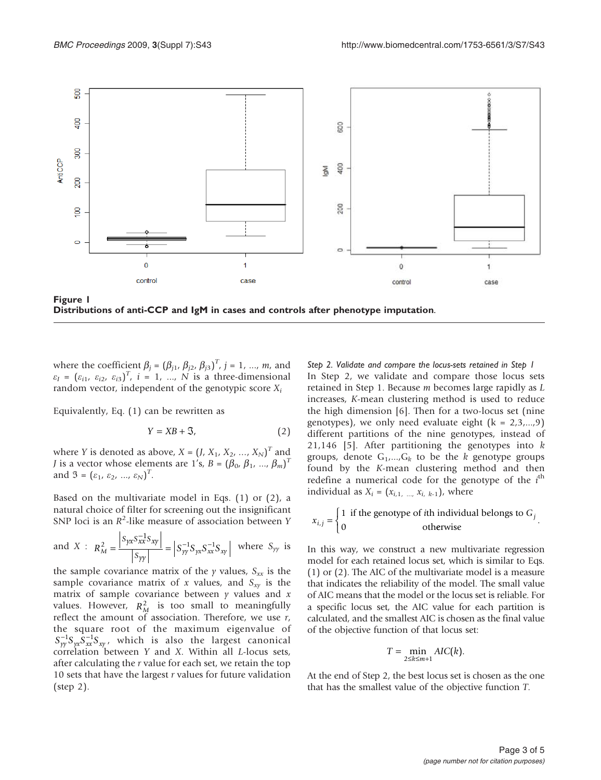<span id="page-2-0"></span>

Distributions of anti-CCP and IgM in cases and controls after phenotype imputation.

where the coefficient  $\beta_j = (\beta_{j1}, \beta_{j2}, \beta_{j3})^T$ ,  $j = 1, ..., m$ , and<br> $\epsilon_2 = (\epsilon_1, \epsilon_2, \epsilon_3)^T$ ,  $j = 1, ..., N$  is a three-dimensional  $\varepsilon_1 = (\varepsilon_{i1}, \varepsilon_{i2}, \varepsilon_{i3})^T$ ,  $i = 1, ..., N$  is a three-dimensional random vector independent of the genotypic score X. random vector, independent of the genotypic score  $X_i$ 

Equivalently, Eq. (1) can be rewritten as

$$
Y = XB + \mathfrak{S},\tag{2}
$$

where Y is denoted as above,  $X = (J, X_1, X_2, ..., X_N)^T$  and<br>Lis a vector whose elements are 1's  $B - (B_1, B_2, ..., B_N)^T$ *J* is a vector whose elements are 1's,  $B = (\beta_0, \beta_1, ..., \beta_m)^T$ <br>and  $\mathcal{F} = (s_1, s_2, ..., s_m)^T$ and  $\mathfrak{I} = (\varepsilon_1, \varepsilon_2, ..., \varepsilon_N)^T$ .

Based on the multivariate model in Eqs. (1) or (2), a natural choice of filter for screening out the insignificant SNP loci is an  $R^2$ -like measure of association between Y

and 
$$
X: R_M^2 = \frac{|S_{yx}S_{xx}^{-1}S_{xy}|}{|S_{yy}|} = |S_{yy}^{-1}S_{yx}S_{xx}^{-1}S_{xy}|
$$
 where  $S_{yy}$  is

the sample covariance matrix of the  $\gamma$  values,  $S_{xx}$  is the sample covariance matrix of x values, and  $S_{xy}$  is the matrix of sample covariance between  $\gamma$  values and  $x$ values. However,  $R_M^2$  is too small to meaningfully reflect the amount of association. Therefore, we use  $r$ , the square root of the maximum eigenvalue of  $S_{yy}^{-1}S_{yx}\overline{S}_{xx}^{-1}S_{xy}$ , which is also the largest canonical correlation between Y and X. Within all L-locus sets, after calculating the r value for each set, we retain the top 10 sets that have the largest  $r$  values for future validation (step 2).

Step 2. Validate and compare the locus-sets retained in Step 1 In Step 2, we validate and compare those locus sets retained in Step 1. Because m becomes large rapidly as L increases, K-mean clustering method is used to reduce the high dimension [\[6\]](#page-4-0). Then for a two-locus set (nine genotypes), we only need evaluate eight  $(k = 2,3,...,9)$ different partitions of the nine genotypes, instead of 21,146 [\[5\]](#page-4-0). After partitioning the genotypes into  $k$ groups, denote  $G_1,...,G_k$  to be the k genotype groups found by the K-mean clustering method and then redefine a numerical code for the genotype of the  $i^{\text{th}}$ <br>individual as  $X_i = (x_i, \ldots, x_{i+1})$  where individual as  $X_i = (x_{i,1}, ..., x_{i,k-1})$ , where

$$
x_{i,j} = \begin{cases} 1 & \text{if the genotype of } i\text{th individual belongs to } G_j \\ 0 & \text{otherwise} \end{cases}.
$$

In this way, we construct a new multivariate regression model for each retained locus set, which is similar to Eqs. (1) or (2). The AIC of the multivariate model is a measure that indicates the reliability of the model. The small value of AIC means that the model or the locus set is reliable. For a specific locus set, the AIC value for each partition is calculated, and the smallest AIC is chosen as the final value of the objective function of that locus set:

$$
T = \min_{2 \leq k \leq m+1} AIC(k).
$$

At the end of Step 2, the best locus set is chosen as the one that has the smallest value of the objective function T.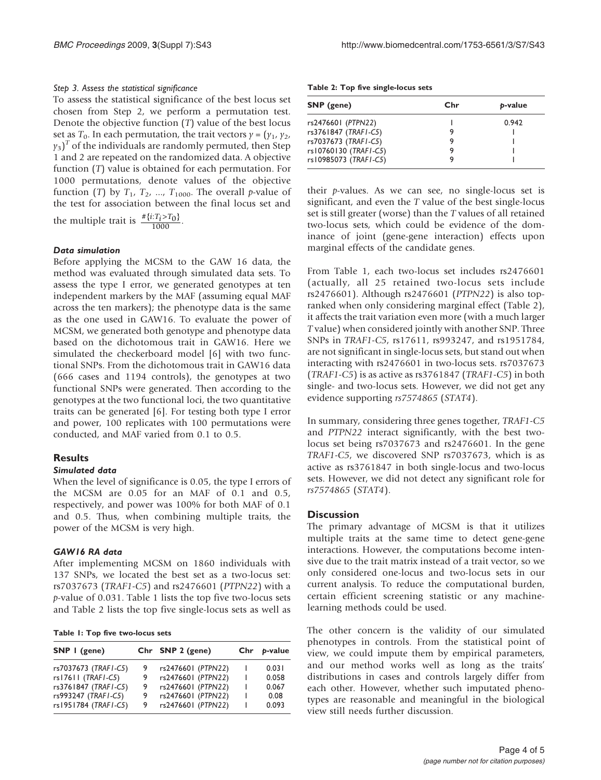### Step 3. Assess the statistical significance

To assess the statistical significance of the best locus set chosen from Step 2, we perform a permutation test. Denote the objective function  $(T)$  value of the best locus set as  $T_0$ . In each permutation, the trait vectors  $\gamma = (\gamma_1, \gamma_2, \gamma_3)$  $y_3$ <sup>T</sup> of the individuals are randomly permuted, then Step 1 and 2 are repeated on the randomized data. A objective 1 and 2 are repeated on the randomized data. A objective function (T) value is obtained for each permutation. For 1000 permutations, denote values of the objective function (T) by  $T_1$ ,  $T_2$ , ...,  $T_{1000}$ . The overall p-value of the test for association between the final locus set and the multiple trait is  $\frac{\# \{i : T_i > T_0\}}{1000}$ .

#### Data simulation

Before applying the MCSM to the GAW 16 data, the method was evaluated through simulated data sets. To assess the type I error, we generated genotypes at ten independent markers by the MAF (assuming equal MAF across the ten markers); the phenotype data is the same as the one used in GAW16. To evaluate the power of MCSM, we generated both genotype and phenotype data based on the dichotomous trait in GAW16. Here we simulated the checkerboard model [[6](#page-4-0)] with two functional SNPs. From the dichotomous trait in GAW16 data (666 cases and 1194 controls), the genotypes at two functional SNPs were generated. Then according to the genotypes at the two functional loci, the two quantitative traits can be generated [[6](#page-4-0)]. For testing both type I error and power, 100 replicates with 100 permutations were conducted, and MAF varied from 0.1 to 0.5.

# **Results**

# Simulated data

When the level of significance is 0.05, the type I errors of the MCSM are 0.05 for an MAF of 0.1 and 0.5, respectively, and power was 100% for both MAF of 0.1 and 0.5. Thus, when combining multiple traits, the power of the MCSM is very high.

# GAW16 RA data

After implementing MCSM on 1860 individuals with 137 SNPs, we located the best set as a two-locus set: rs7037673 (TRAF1-C5) and rs2476601 (PTPN22) with a p-value of 0.031. Table 1 lists the top five two-locus sets and Table 2 lists the top five single-locus sets as well as

|  |  |  |  | Table 1: Top five two-locus sets |  |
|--|--|--|--|----------------------------------|--|
|--|--|--|--|----------------------------------|--|

| $SNP$   (gene)       |     | Chr SNP 2 (gene)   |   | $Chr$ p-value |
|----------------------|-----|--------------------|---|---------------|
| rs7037673 (TRAF1-C5) | 9   | rs2476601 (PTPN22) | L | 0.031         |
| $rs17611$ (TRAFI-C5) | 9   | rs2476601 (PTPN22) | L | 0.058         |
| rs3761847 (TRAF1-C5) | 9   | rs2476601 (PTPN22) | ı | 0.067         |
| rs993247 (TRAFI-C5)  | - 9 | rs2476601 (PTPN22) | ı | 0.08          |
| rs1951784 (TRAFI-C5) | 9   | rs2476601 (PTPN22) |   | 0.093         |

#### Table 2: Top five single-locus sets

| SNP (gene)            | Chr | b-value |  |
|-----------------------|-----|---------|--|
| rs2476601 (PTPN22)    |     | 0.942   |  |
| rs3761847 (TRAF1-C5)  |     |         |  |
| rs7037673 (TRAF1-C5)  |     |         |  |
| rs10760130 (TRAF1-C5) |     |         |  |
| rs10985073 (TRAF1-C5) |     |         |  |

their  $p$ -values. As we can see, no single-locus set is significant, and even the T value of the best single-locus set is still greater (worse) than the T values of all retained two-locus sets, which could be evidence of the dominance of joint (gene-gene interaction) effects upon marginal effects of the candidate genes.

From Table 1, each two-locus set includes rs2476601 (actually, all 25 retained two-locus sets include rs2476601). Although rs2476601 (PTPN22) is also topranked when only considering marginal effect (Table 2), it affects the trait variation even more (with a much larger T value) when considered jointly with another SNP. Three SNPs in TRAF1-C5, rs17611, rs993247, and rs1951784, are not significant in single-locus sets, but stand out when interacting with rs2476601 in two-locus sets. rs7037673 (TRAF1-C5) is as active as rs3761847 (TRAF1-C5) in both single- and two-locus sets. However, we did not get any evidence supporting rs7574865 (STAT4).

In summary, considering three genes together, TRAF1-C5 and PTPN22 interact significantly, with the best twolocus set being rs7037673 and rs2476601. In the gene TRAF1-C5, we discovered SNP rs7037673, which is as active as rs3761847 in both single-locus and two-locus sets. However, we did not detect any significant role for rs7574865 (STAT4).

#### **Discussion**

The primary advantage of MCSM is that it utilizes multiple traits at the same time to detect gene-gene interactions. However, the computations become intensive due to the trait matrix instead of a trait vector, so we only considered one-locus and two-locus sets in our current analysis. To reduce the computational burden, certain efficient screening statistic or any machinelearning methods could be used.

The other concern is the validity of our simulated phenotypes in controls. From the statistical point of view, we could impute them by empirical parameters, and our method works well as long as the traits' distributions in cases and controls largely differ from each other. However, whether such imputated phenotypes are reasonable and meaningful in the biological view still needs further discussion.